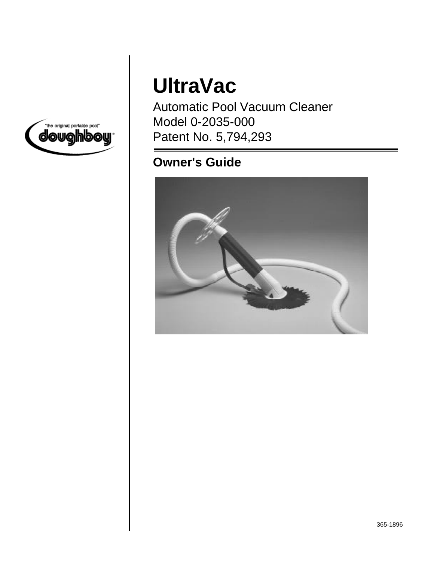

# **UltraVac**

Automatic Pool Vacuum Cleaner Model 0-2035-000 Patent No. 5,794,293

## **Owner's Guide**

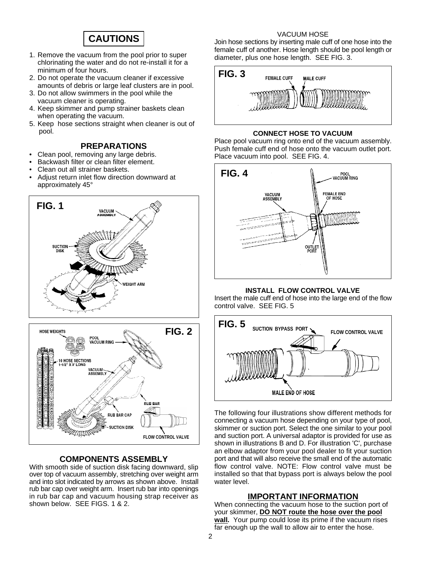### **CAUTIONS**

- 1. Remove the vacuum from the pool prior to super chlorinating the water and do not re-install it for a minimum of four hours.
- 2. Do not operate the vacuum cleaner if excessive amounts of debris or large leaf clusters are in pool.
- 3. Do not allow swimmers in the pool while the vacuum cleaner is operating.
- 4. Keep skimmer and pump strainer baskets clean when operating the vacuum.
- 5. Keep hose sections straight when cleaner is out of pool.

### **PREPARATIONS**

- Clean pool, removing any large debris.
- Backwash filter or clean filter element.
- Clean out all strainer baskets.
- Adjust return inlet flow direction downward at approximately 45°



#### **COMPONENTS ASSEMBLY**

With smooth side of suction disk facing downward, slip over top of vacuum assembly, stretching over weight arm and into slot indicated by arrows as shown above. Install rub bar cap over weight arm. Insert rub bar into openings in rub bar cap and vacuum housing strap receiver as shown below. SEE FIGS. 1 & 2.

#### VACUUM HOSE

Join hose sections by inserting male cuff of one hose into the female cuff of another. Hose length should be pool length or diameter, plus one hose length. SEE FIG. 3.



#### **CONNECT HOSE TO VACUUM**

Place pool vacuum ring onto end of the vacuum assembly. Push female cuff end of hose onto the vacuum outlet port. Place vacuum into pool. SEE FIG. 4.



#### **INSTALL FLOW CONTROL VALVE**

Insert the male cuff end of hose into the large end of the flow control valve. SEE FIG. 5



The following four illustrations show different methods for connecting a vacuum hose depending on your type of pool, skimmer or suction port. Select the one similar to your pool and suction port. A universal adaptor is provided for use as shown in illustrations B and D. For illustration 'C', purchase an elbow adaptor from your pool dealer to fit your suction port and that will also receive the small end of the automatic flow control valve. NOTE: Flow control valve must be installed so that that bypass port is always below the pool water level.

#### **IMPORTANT INFORMATION**

When connecting the vacuum hose to the suction port of your skimmer, **DO NOT route the hose over the pool wall.** Your pump could lose its prime if the vacuum rises far enough up the wall to allow air to enter the hose.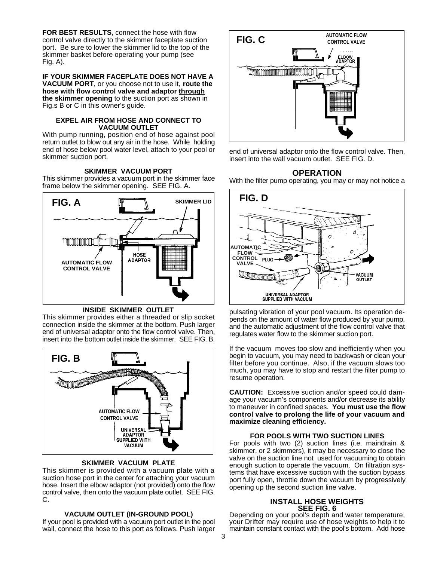**FOR BEST RESULTS**, connect the hose with flow control valve directly to the skimmer faceplate suction port. Be sure to lower the skimmer lid to the top of the skimmer basket before operating your pump (see Fig. A).

**IF YOUR SKIMMER FACEPLATE DOES NOT HAVE A VACUUM PORT**, or you choose not to use it, **route the hose with flow control valve and adaptor through the skimmer opening** to the suction port as shown in Fig.s B or C in this owner's guide.

#### **EXPEL AIR FROM HOSE AND CONNECT TO VACUUM OUTLET**

With pump running, position end of hose against pool return outlet to blow out any air in the hose. While holding end of hose below pool water level, attach to your pool or skimmer suction port.

#### **SKIMMER VACUUM PORT**

This skimmer provides a vacuum port in the skimmer face frame below the skimmer opening. SEE FIG. A.



**INSIDE SKIMMER OUTLET**

This skimmer provides either a threaded or slip socket connection inside the skimmer at the bottom. Push larger end of universal adaptor onto the flow control valve. Then, insert into the bottom outlet inside the skimmer. SEE FIG. B.



#### **SKIMMER VACUUM PLATE**

This skimmer is provided with a vacuum plate with a suction hose port in the center for attaching your vacuum hose. Insert the elbow adaptor (not provided) onto the flow control valve, then onto the vacuum plate outlet. SEE FIG. C.

#### **VACUUM OUTLET (IN-GROUND POOL)**

If your pool is provided with a vacuum port outlet in the pool wall, connect the hose to this port as follows. Push larger



end of universal adaptor onto the flow control valve. Then, insert into the wall vacuum outlet. SEE FIG. D.

#### **OPERATION**

With the filter pump operating, you may or may not notice a



pulsating vibration of your pool vacuum. Its operation depends on the amount of water flow produced by your pump, and the automatic adjustment of the flow control valve that regulates water flow to the skimmer suction port.

If the vacuum moves too slow and inefficiently when you begin to vacuum, you may need to backwash or clean your filter before you continue. Also, if the vacuum slows too much, you may have to stop and restart the filter pump to resume operation.

**CAUTION:** Excessive suction and/or speed could damage your vacuum's components and/or decrease its ability to maneuver in confined spaces. **You must use the flow control valve to prolong the life of your vacuum and maximize cleaning efficiency.**

#### **FOR POOLS WITH TWO SUCTION LINES**

For pools with two (2) suction lines (i.e. maindrain & skimmer, or 2 skimmers), it may be necessary to close the valve on the suction line not used for vacuuming to obtain enough suction to operate the vacuum. On filtration systems that have excessive suction with the suction bypass port fully open, throttle down the vacuum by progressively opening up the second suction line valve.

#### **INSTALL HOSE WEIGHTS SEE FIG. 6**

Depending on your pool's depth and water temperature, your Drifter may require use of hose weights to help it to maintain constant contact with the pool's bottom. Add hose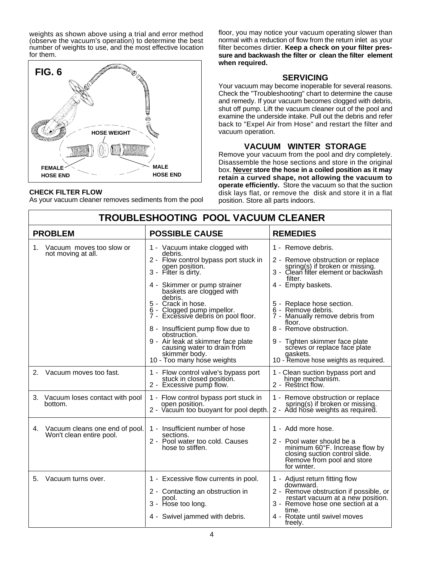weights as shown above using a trial and error method (observe the vacuum's operation) to determine the best number of weights to use, and the most effective location for them.



#### **CHECK FILTER FLOW**

As your vacuum cleaner removes sediments from the pool

floor, you may notice your vacuum operating slower than normal with a reduction of flow from the return inlet as your filter becomes dirtier. **Keep a check on your filter pressure and backwash the filter or clean the filter element when required.**

#### **SERVICING**

Your vacuum may become inoperable for several reasons. Check the "Troubleshooting" chart to determine the cause and remedy. If your vacuum becomes clogged with debris, shut off pump. Lift the vacuum cleaner out of the pool and examine the underside intake. Pull out the debris and refer back to "Expel Air from Hose" and restart the filter and vacuum operation.

### **VACUUM WINTER STORAGE**

Remove your vacuum from the pool and dry completely. Disassemble the hose sections and store in the original box. **Never store the hose in a coiled position as it may retain a curved shape, not allowing the vacuum to operate efficiently.** Store the vacuum so that the suction disk lays flat, or remove the disk and store it in a flat position. Store all parts indoors.

| TROUBLESHOOTING POOL VACUUM CLEANER                              |  |                                                                                                                                                                                                                                                                                                                                                                                                                                                                         |                                                                                                                                                                                                                                                                                                                                                                                                                       |  |  |
|------------------------------------------------------------------|--|-------------------------------------------------------------------------------------------------------------------------------------------------------------------------------------------------------------------------------------------------------------------------------------------------------------------------------------------------------------------------------------------------------------------------------------------------------------------------|-----------------------------------------------------------------------------------------------------------------------------------------------------------------------------------------------------------------------------------------------------------------------------------------------------------------------------------------------------------------------------------------------------------------------|--|--|
| <b>PROBLEM</b>                                                   |  | <b>POSSIBLE CAUSE</b>                                                                                                                                                                                                                                                                                                                                                                                                                                                   | <b>REMEDIES</b>                                                                                                                                                                                                                                                                                                                                                                                                       |  |  |
| Vacuum moves too slow or<br>1.<br>not moving at all.             |  | 1 - Vacuum intake clogged with<br>debris.<br>2 - Flow control bypass port stuck in<br>open position.<br>3 - Filter is dirty.<br>4 - Skimmer or pump strainer<br>baskets are clogged with<br>debris.<br>5 - Crack in hose.<br>6 - Clogged pump impellor.<br>7 - Excessive debris on pool floor.<br>8 - Insufficient pump flow due to<br>obstruction.<br>9 - Air leak at skimmer face plate<br>causing water to drain from<br>skimmer body.<br>10 - Too many hose weights | 1 - Remove debris.<br>2 - Remove obstruction or replace<br>spring(s) if broken or missing.<br>3 - Clean filter element or backwash<br>filter.<br>4 - Empty baskets.<br>5 - Replace hose section.<br>6 - Remove debris.<br>7 - Manually remove debris from<br>floor.<br>8 - Remove obstruction.<br>9 - Tighten skimmer face plate<br>screws or replace face plate<br>gaskets.<br>10 - Remove hose weights as required. |  |  |
| $2_{-}$<br>Vacuum moves too fast.                                |  | 1 - Flow control valve's bypass port<br>stuck in closed position.<br>2 - Excessive pump flow.                                                                                                                                                                                                                                                                                                                                                                           | 1 - Clean suction bypass port and<br>hinge mechanism.<br>2 - Restrict flow.                                                                                                                                                                                                                                                                                                                                           |  |  |
| 3. Vacuum loses contact with pool<br>bottom.                     |  | 1 - Flow control bypass port stuck in<br>open position.<br>2 - Vacuum too buoyant for pool depth.                                                                                                                                                                                                                                                                                                                                                                       | 1 - Remove obstruction or replace<br>spring(s) if broken or missing.<br>2 - Add hose weights as required.                                                                                                                                                                                                                                                                                                             |  |  |
| Vacuum cleans one end of pool.<br>4.<br>Won't clean entire pool. |  | 1 - Insufficient number of hose<br>sections.<br>2 - Pool water too cold. Causes<br>hose to stiffen.                                                                                                                                                                                                                                                                                                                                                                     | 1 - Add more hose.<br>2 - Pool water should be a<br>minimum 60°F. Increase flow by<br>closing suction control slide.<br>Remove from pool and store<br>for winter.                                                                                                                                                                                                                                                     |  |  |
| Vacuum turns over.<br>5.                                         |  | 1 - Excessive flow currents in pool.<br>2 - Contacting an obstruction in<br>pool.<br>3 - Hose too long.<br>4 - Swivel jammed with debris.                                                                                                                                                                                                                                                                                                                               | 1 - Adjust return fitting flow<br>downward.<br>2 - Remove obstruction if possible, or<br>restart vacuum at a new position.<br>3 - Remove hose one section at a<br>time.<br>4 - Rotate until swivel moves<br>freely.                                                                                                                                                                                                   |  |  |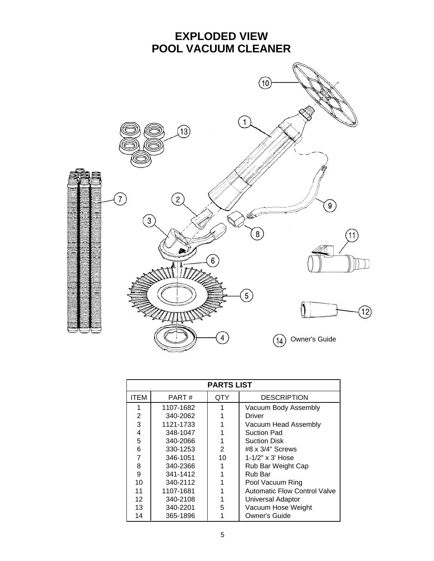

| <b>PARTS LIST</b> |           |            |                                     |  |  |
|-------------------|-----------|------------|-------------------------------------|--|--|
| <b>ITEM</b>       | PART#     | <b>QTY</b> | <b>DESCRIPTION</b>                  |  |  |
|                   | 1107-1682 | 1          | Vacuum Body Assembly                |  |  |
| $\overline{2}$    | 340-2062  |            | Driver                              |  |  |
| 3                 | 1121-1733 |            | Vacuum Head Assembly                |  |  |
| 4                 | 348-1047  |            | <b>Suction Pad</b>                  |  |  |
| 5                 | 340-2066  |            | Suction Disk                        |  |  |
| 6                 | 330-1253  | 2          | #8 x 3/4" Screws                    |  |  |
| 7                 | 346-1051  | 10         | 1-1/2" x 3' Hose                    |  |  |
| 8                 | 340-2366  |            | Rub Bar Weight Cap                  |  |  |
| 9                 | 341-1412  |            | Rub Bar                             |  |  |
| 10                | 340-2112  |            | Pool Vacuum Ring                    |  |  |
| 11                | 1107-1681 |            | <b>Automatic Flow Control Valve</b> |  |  |
| $12 \overline{ }$ | 340-2108  |            | Universal Adaptor                   |  |  |
| 13                | 340-2201  | 5          | Vacuum Hose Weight                  |  |  |
| 14                | 365-1896  |            | Owner's Guide                       |  |  |